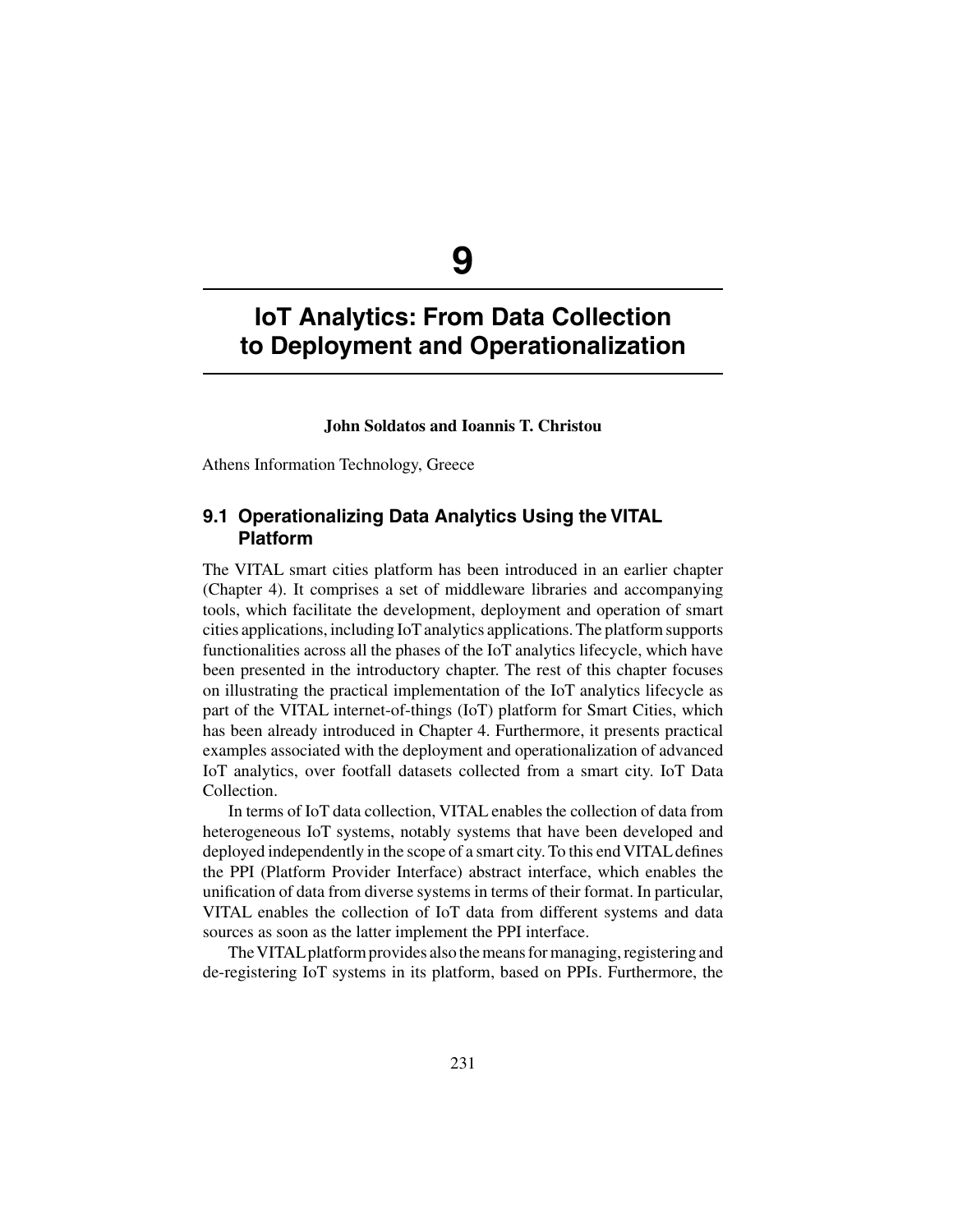# **IoT Analytics: From Data Collection to Deployment and Operationalization**

#### **John Soldatos and Ioannis T. Christou**

Athens Information Technology, Greece

## **9.1 Operationalizing Data Analytics Using the VITAL Platform**

The VITAL smart cities platform has been introduced in an earlier chapter (Chapter 4). It comprises a set of middleware libraries and accompanying tools, which facilitate the development, deployment and operation of smart cities applications, including IoT analytics applications. The platform supports functionalities across all the phases of the IoT analytics lifecycle, which have been presented in the introductory chapter. The rest of this chapter focuses on illustrating the practical implementation of the IoT analytics lifecycle as part of the VITAL internet-of-things (IoT) platform for Smart Cities, which has been already introduced in Chapter 4. Furthermore, it presents practical examples associated with the deployment and operationalization of advanced IoT analytics, over footfall datasets collected from a smart city. IoT Data Collection.

In terms of IoT data collection, VITAL enables the collection of data from heterogeneous IoT systems, notably systems that have been developed and deployed independently in the scope of a smart city. To this end VITAL defines the PPI (Platform Provider Interface) abstract interface, which enables the unification of data from diverse systems in terms of their format. In particular, VITAL enables the collection of IoT data from different systems and data sources as soon as the latter implement the PPI interface.

The VITAL platform provides also the means for managing, registering and de-registering IoT systems in its platform, based on PPIs. Furthermore, the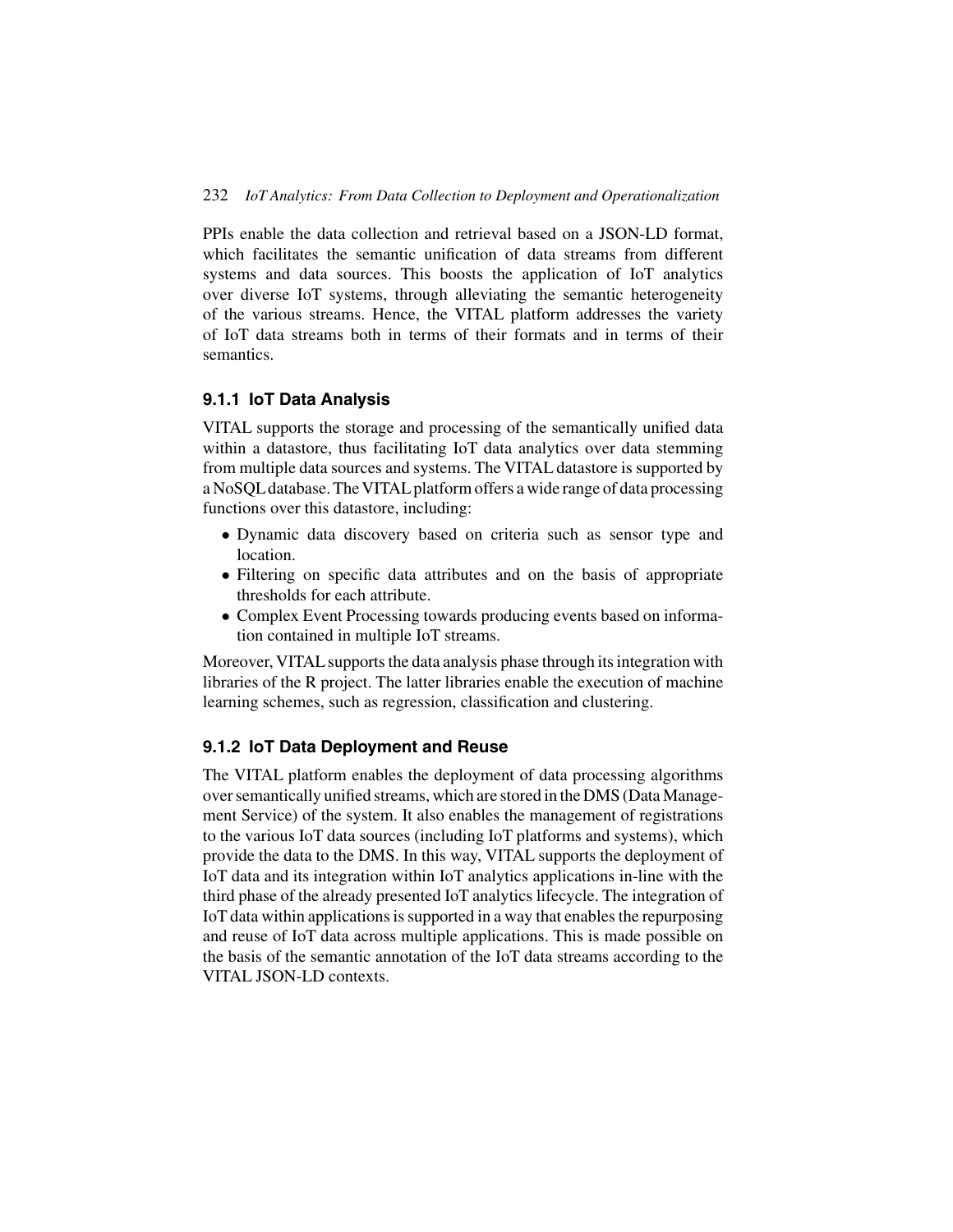PPIs enable the data collection and retrieval based on a JSON-LD format, which facilitates the semantic unification of data streams from different systems and data sources. This boosts the application of IoT analytics over diverse IoT systems, through alleviating the semantic heterogeneity of the various streams. Hence, the VITAL platform addresses the variety of IoT data streams both in terms of their formats and in terms of their semantics.

#### **9.1.1 IoT Data Analysis**

VITAL supports the storage and processing of the semantically unified data within a datastore, thus facilitating IoT data analytics over data stemming from multiple data sources and systems. The VITAL datastore is supported by a NoSQL database. The VITAL platform offers a wide range of data processing functions over this datastore, including:

- Dynamic data discovery based on criteria such as sensor type and location.
- Filtering on specific data attributes and on the basis of appropriate thresholds for each attribute.
- Complex Event Processing towards producing events based on information contained in multiple IoT streams.

Moreover, VITAL supports the data analysis phase through its integration with libraries of the R project. The latter libraries enable the execution of machine learning schemes, such as regression, classification and clustering.

#### **9.1.2 IoT Data Deployment and Reuse**

The VITAL platform enables the deployment of data processing algorithms over semantically unified streams, which are stored in the DMS (Data Management Service) of the system. It also enables the management of registrations to the various IoT data sources (including IoT platforms and systems), which provide the data to the DMS. In this way, VITAL supports the deployment of IoT data and its integration within IoT analytics applications in-line with the third phase of the already presented IoT analytics lifecycle. The integration of IoT data within applications is supported in a way that enables the repurposing and reuse of IoT data across multiple applications. This is made possible on the basis of the semantic annotation of the IoT data streams according to the VITAL JSON-LD contexts.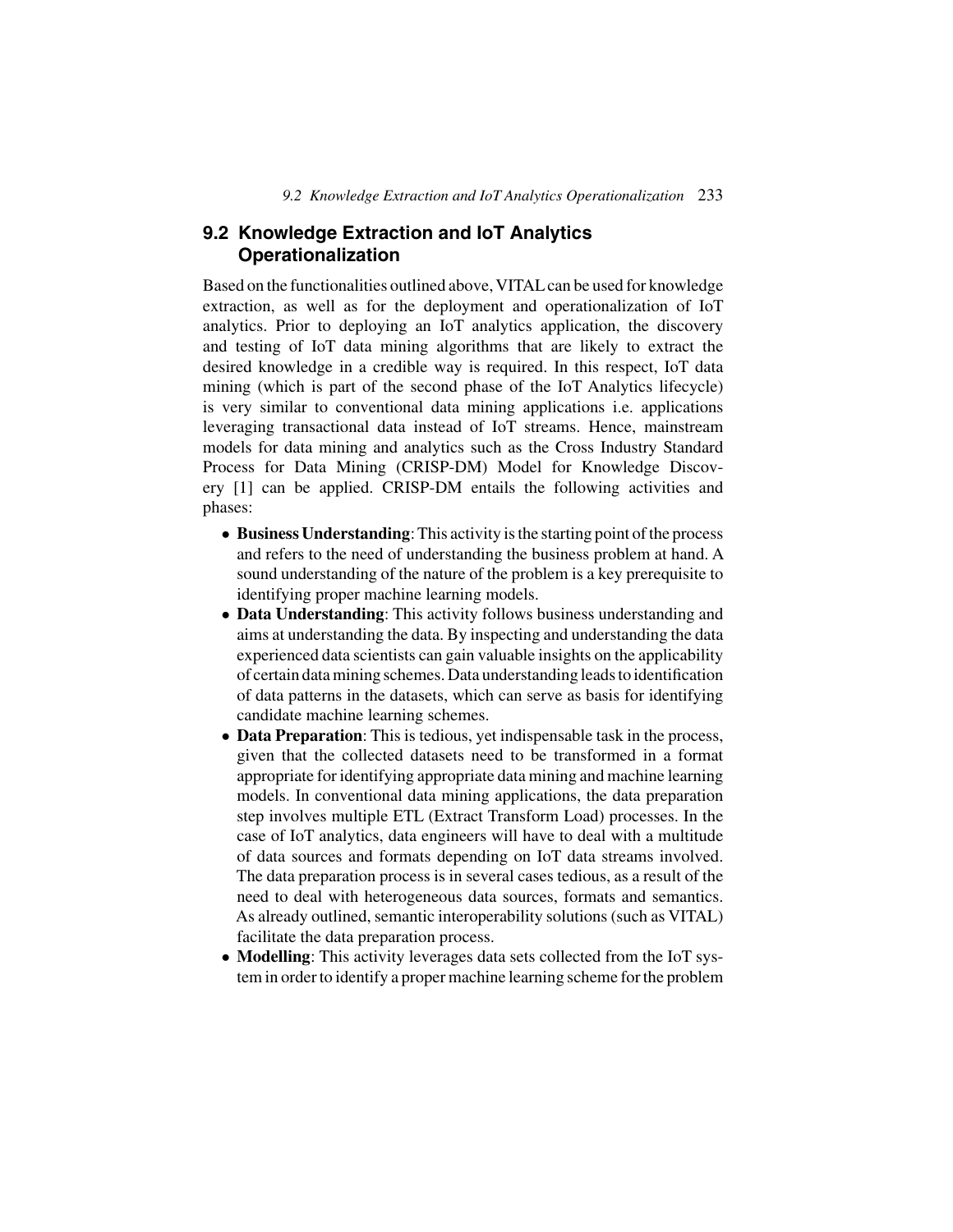## **9.2 Knowledge Extraction and IoT Analytics Operationalization**

Based on the functionalities outlined above, VITAL can be used for knowledge extraction, as well as for the deployment and operationalization of IoT analytics. Prior to deploying an IoT analytics application, the discovery and testing of IoT data mining algorithms that are likely to extract the desired knowledge in a credible way is required. In this respect, IoT data mining (which is part of the second phase of the IoT Analytics lifecycle) is very similar to conventional data mining applications i.e. applications leveraging transactional data instead of IoT streams. Hence, mainstream models for data mining and analytics such as the Cross Industry Standard Process for Data Mining (CRISP-DM) Model for Knowledge Discovery [1] can be applied. CRISP-DM entails the following activities and phases:

- **Business Understanding**: This activity is the starting point of the process and refers to the need of understanding the business problem at hand. A sound understanding of the nature of the problem is a key prerequisite to identifying proper machine learning models.
- **Data Understanding**: This activity follows business understanding and aims at understanding the data. By inspecting and understanding the data experienced data scientists can gain valuable insights on the applicability of certain data mining schemes. Data understanding leads to identification of data patterns in the datasets, which can serve as basis for identifying candidate machine learning schemes.
- **Data Preparation**: This is tedious, yet indispensable task in the process, given that the collected datasets need to be transformed in a format appropriate for identifying appropriate data mining and machine learning models. In conventional data mining applications, the data preparation step involves multiple ETL (Extract Transform Load) processes. In the case of IoT analytics, data engineers will have to deal with a multitude of data sources and formats depending on IoT data streams involved. The data preparation process is in several cases tedious, as a result of the need to deal with heterogeneous data sources, formats and semantics. As already outlined, semantic interoperability solutions (such as VITAL) facilitate the data preparation process.
- **Modelling**: This activity leverages data sets collected from the IoT system in order to identify a proper machine learning scheme for the problem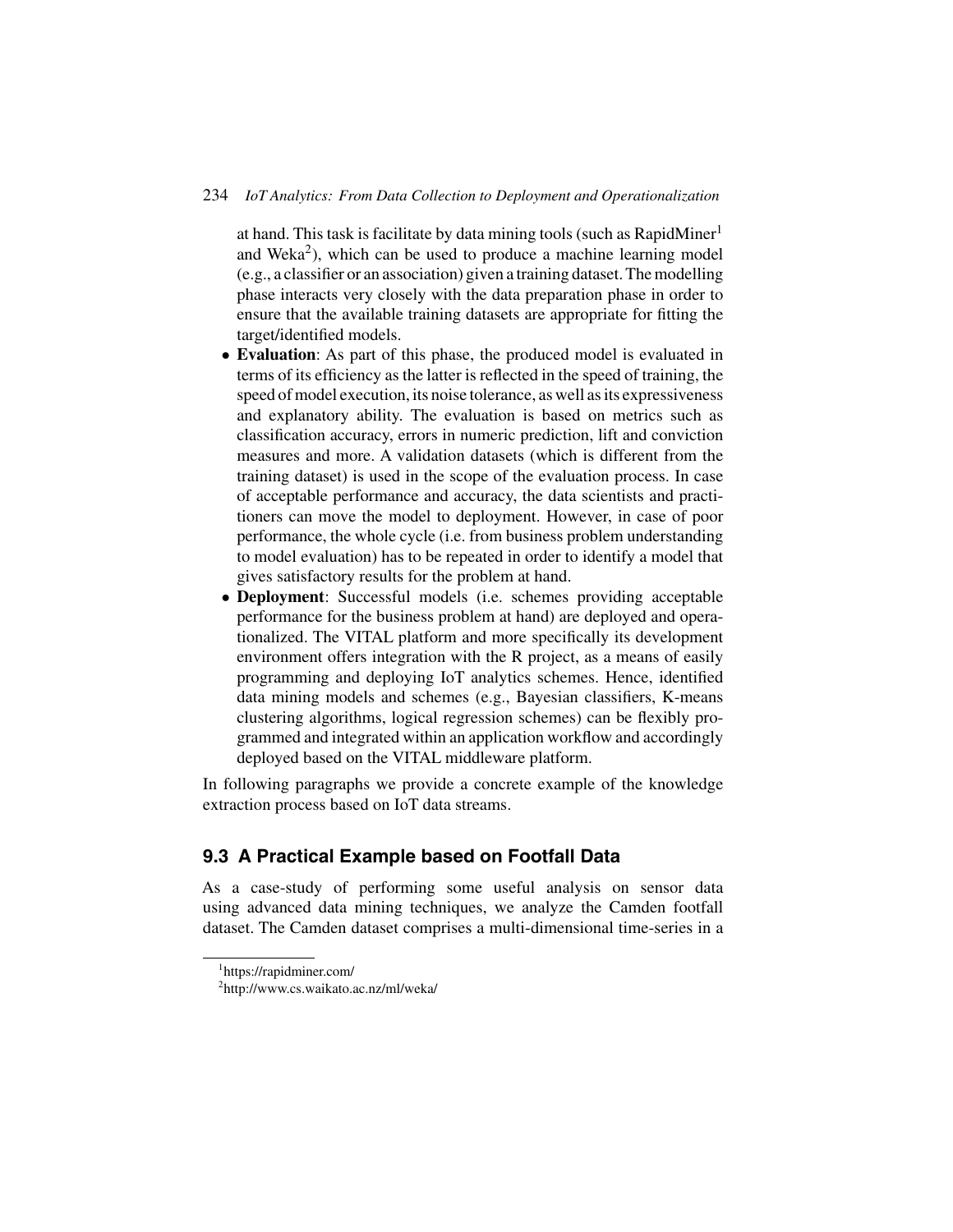#### 234 *IoT Analytics: From Data Collection to Deployment and Operationalization*

at hand. This task is facilitate by data mining tools (such as RapidMiner<sup>1</sup> and Weka<sup>2</sup>), which can be used to produce a machine learning model (e.g., a classifier or an association) given a training dataset. The modelling phase interacts very closely with the data preparation phase in order to ensure that the available training datasets are appropriate for fitting the target/identified models.

- **Evaluation**: As part of this phase, the produced model is evaluated in terms of its efficiency as the latter is reflected in the speed of training, the speed of model execution, its noise tolerance, as well as its expressiveness and explanatory ability. The evaluation is based on metrics such as classification accuracy, errors in numeric prediction, lift and conviction measures and more. A validation datasets (which is different from the training dataset) is used in the scope of the evaluation process. In case of acceptable performance and accuracy, the data scientists and practitioners can move the model to deployment. However, in case of poor performance, the whole cycle (i.e. from business problem understanding to model evaluation) has to be repeated in order to identify a model that gives satisfactory results for the problem at hand.
- **Deployment**: Successful models (i.e. schemes providing acceptable performance for the business problem at hand) are deployed and operationalized. The VITAL platform and more specifically its development environment offers integration with the R project, as a means of easily programming and deploying IoT analytics schemes. Hence, identified data mining models and schemes (e.g., Bayesian classifiers, K-means clustering algorithms, logical regression schemes) can be flexibly programmed and integrated within an application workflow and accordingly deployed based on the VITAL middleware platform.

In following paragraphs we provide a concrete example of the knowledge extraction process based on IoT data streams.

## **9.3 A Practical Example based on Footfall Data**

As a case-study of performing some useful analysis on sensor data using advanced data mining techniques, we analyze the Camden footfall dataset. The Camden dataset comprises a multi-dimensional time-series in a

<sup>1</sup> https://rapidminer.com/

<sup>2</sup> http://www.cs.waikato.ac.nz/ml/weka/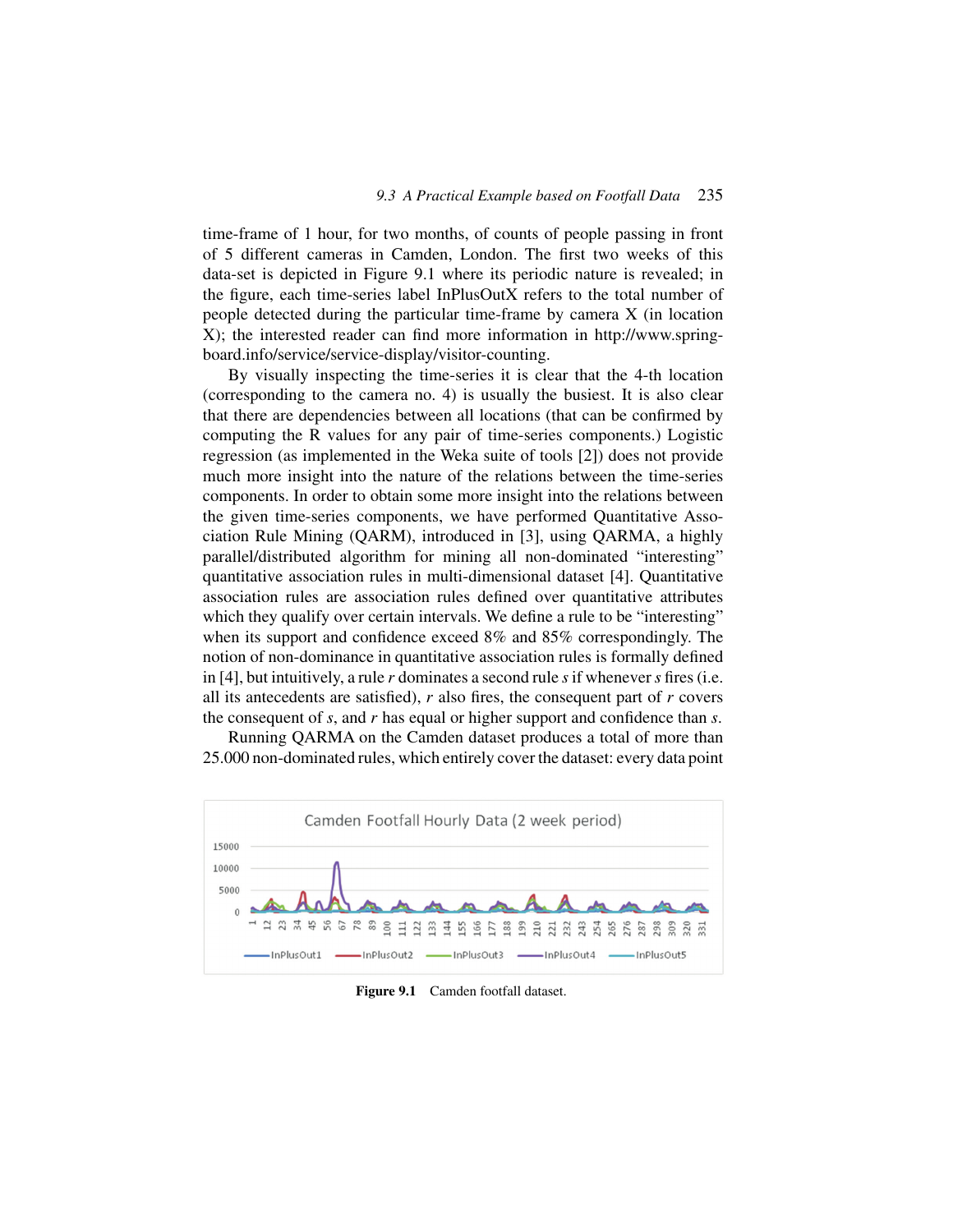time-frame of 1 hour, for two months, of counts of people passing in front of 5 different cameras in Camden, London. The first two weeks of this data-set is depicted in Figure 9.1 where its periodic nature is revealed; in the figure, each time-series label InPlusOutX refers to the total number of people detected during the particular time-frame by camera X (in location X); the interested reader can find more information in http://www.springboard.info/service/service-display/visitor-counting.

By visually inspecting the time-series it is clear that the 4-th location (corresponding to the camera no. 4) is usually the busiest. It is also clear that there are dependencies between all locations (that can be confirmed by computing the R values for any pair of time-series components.) Logistic regression (as implemented in the Weka suite of tools [2]) does not provide much more insight into the nature of the relations between the time-series components. In order to obtain some more insight into the relations between the given time-series components, we have performed Quantitative Association Rule Mining (QARM), introduced in [3], using QARMA, a highly parallel/distributed algorithm for mining all non-dominated "interesting" quantitative association rules in multi-dimensional dataset [4]. Quantitative association rules are association rules defined over quantitative attributes which they qualify over certain intervals. We define a rule to be "interesting" when its support and confidence exceed 8% and 85% correspondingly. The notion of non-dominance in quantitative association rules is formally defined in [4], but intuitively, a rule *r* dominates a second rule *s*if whenever*s* fires (i.e. all its antecedents are satisfied), *r* also fires, the consequent part of *r* covers the consequent of *s*, and *r* has equal or higher support and confidence than *s*.

Running QARMA on the Camden dataset produces a total of more than 25.000 non-dominated rules, which entirely cover the dataset: every data point



**Figure 9.1** Camden footfall dataset.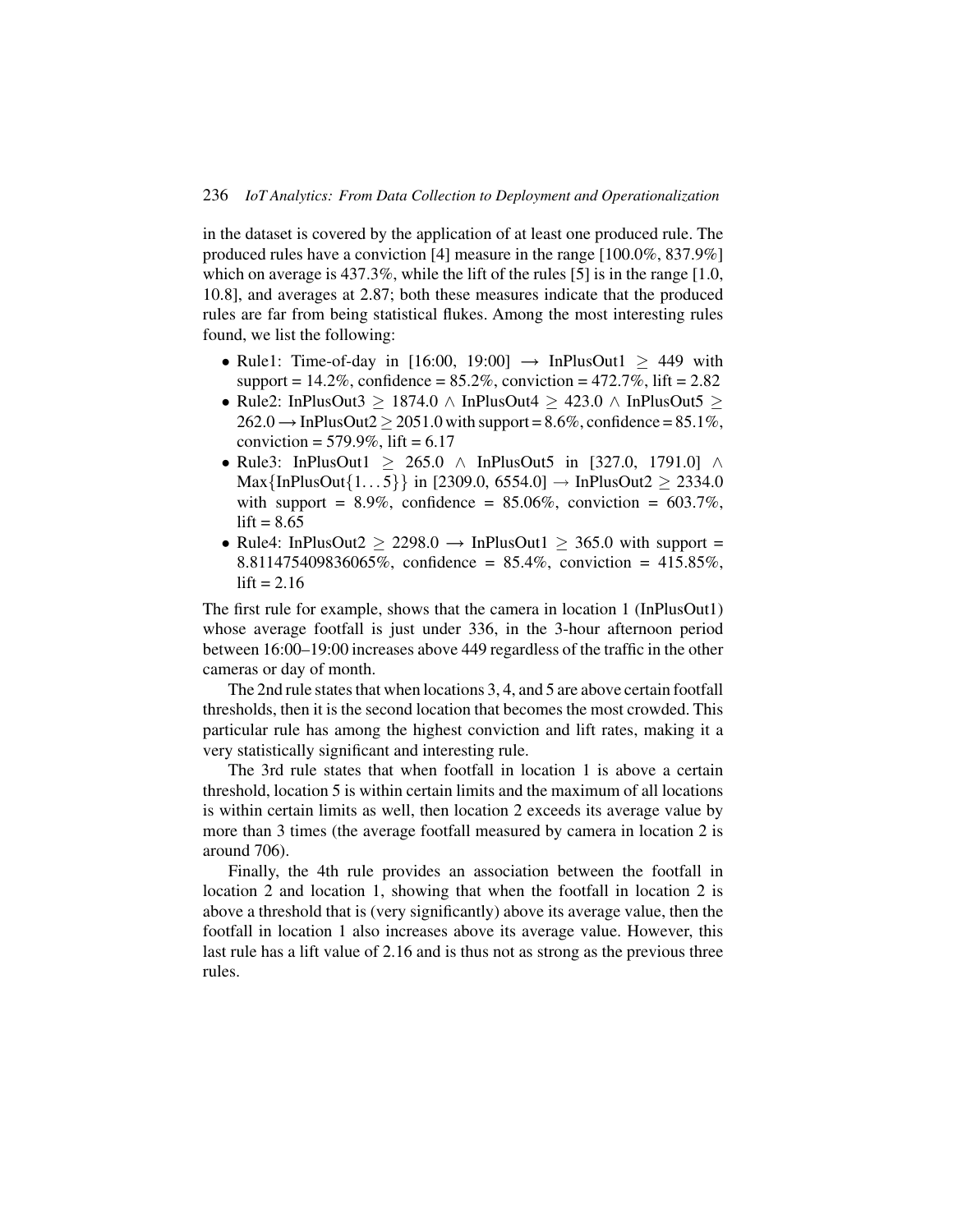in the dataset is covered by the application of at least one produced rule. The produced rules have a conviction [4] measure in the range [100.0%, 837.9%] which on average is 437.3%, while the lift of the rules [5] is in the range [1.0, 10.8], and averages at 2.87; both these measures indicate that the produced rules are far from being statistical flukes. Among the most interesting rules found, we list the following:

- Rule1: Time-of-day in [16:00, 19:00]  $\rightarrow$  InPlusOut1  $\geq$  449 with support =  $14.2\%$ , confidence =  $85.2\%$ , conviction =  $472.7\%$ , lift =  $2.82$
- Rule2: InPlusOut3 > 1874.0  $\land$  InPlusOut4 > 423.0  $\land$  InPlusOut5 >  $262.0 \rightarrow InPlusOut2 \ge 2051.0$  with support =  $8.6\%$ , confidence =  $85.1\%$ , conviction =  $579.9\%$ , lift =  $6.17$
- Rule3: InPlusOut1  $\geq$  265.0 ∧ InPlusOut5 in [327.0, 1791.0] ∧ Max $\{InPlusOut\{1...5\}\}\$ in [2309.0, 6554.0]  $\rightarrow InPlusOut2 \geq 2334.0$ with support =  $8.9\%$ , confidence =  $85.06\%$ , conviction =  $603.7\%$ ,  $lift = 8.65$
- Rule4: InPlusOut2  $\geq$  2298.0  $\rightarrow$  InPlusOut1  $\geq$  365.0 with support = 8.811475409836065%, confidence = 85.4%, conviction = 415.85%,  $lift = 2.16$

The first rule for example, shows that the camera in location 1 (InPlusOut1) whose average footfall is just under 336, in the 3-hour afternoon period between 16:00–19:00 increases above 449 regardless of the traffic in the other cameras or day of month.

The 2nd rule states that when locations 3, 4, and 5 are above certain footfall thresholds, then it is the second location that becomes the most crowded. This particular rule has among the highest conviction and lift rates, making it a very statistically significant and interesting rule.

The 3rd rule states that when footfall in location 1 is above a certain threshold, location 5 is within certain limits and the maximum of all locations is within certain limits as well, then location 2 exceeds its average value by more than 3 times (the average footfall measured by camera in location 2 is around 706).

Finally, the 4th rule provides an association between the footfall in location 2 and location 1, showing that when the footfall in location 2 is above a threshold that is (very significantly) above its average value, then the footfall in location 1 also increases above its average value. However, this last rule has a lift value of 2.16 and is thus not as strong as the previous three rules.